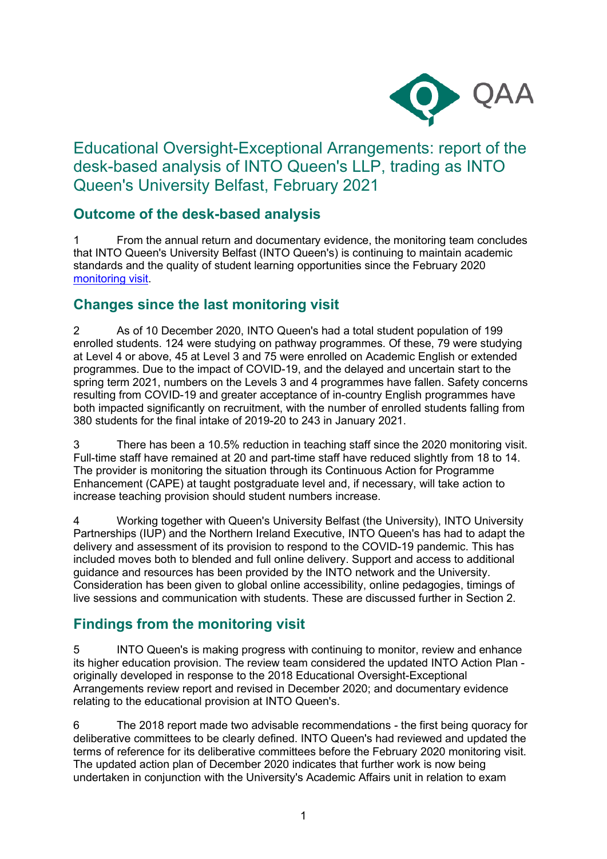

# Educational Oversight-Exceptional Arrangements: report of the desk-based analysis of INTO Queen's LLP, trading as INTO Queen's University Belfast, February 2021

## **Outcome of the desk-based analysis**

1 From the annual return and documentary evidence, the monitoring team concludes that INTO Queen's University Belfast (INTO Queen's) is continuing to maintain academic standards and the quality of student learning opportunities since the February 2020 [monitoring visit.](https://www.qaa.ac.uk/reviewing-higher-education/quality-assurance-reports/INTO-Queen-s-LLP)

## **Changes since the last monitoring visit**

2 As of 10 December 2020, INTO Queen's had a total student population of 199 enrolled students. 124 were studying on pathway programmes. Of these, 79 were studying at Level 4 or above, 45 at Level 3 and 75 were enrolled on Academic English or extended programmes. Due to the impact of COVID-19, and the delayed and uncertain start to the spring term 2021, numbers on the Levels 3 and 4 programmes have fallen. Safety concerns resulting from COVID-19 and greater acceptance of in-country English programmes have both impacted significantly on recruitment, with the number of enrolled students falling from 380 students for the final intake of 2019-20 to 243 in January 2021.

3 There has been a 10.5% reduction in teaching staff since the 2020 monitoring visit. Full-time staff have remained at 20 and part-time staff have reduced slightly from 18 to 14. The provider is monitoring the situation through its Continuous Action for Programme Enhancement (CAPE) at taught postgraduate level and, if necessary, will take action to increase teaching provision should student numbers increase.

4 Working together with Queen's University Belfast (the University), INTO University Partnerships (IUP) and the Northern Ireland Executive, INTO Queen's has had to adapt the delivery and assessment of its provision to respond to the COVID-19 pandemic. This has included moves both to blended and full online delivery. Support and access to additional guidance and resources has been provided by the INTO network and the University. Consideration has been given to global online accessibility, online pedagogies, timings of live sessions and communication with students. These are discussed further in Section 2.

## **Findings from the monitoring visit**

5 INTO Queen's is making progress with continuing to monitor, review and enhance its higher education provision. The review team considered the updated INTO Action Plan originally developed in response to the 2018 Educational Oversight-Exceptional Arrangements review report and revised in December 2020; and documentary evidence relating to the educational provision at INTO Queen's.

6 The 2018 report made two advisable recommendations - the first being quoracy for deliberative committees to be clearly defined. INTO Queen's had reviewed and updated the terms of reference for its deliberative committees before the February 2020 monitoring visit. The updated action plan of December 2020 indicates that further work is now being undertaken in conjunction with the University's Academic Affairs unit in relation to exam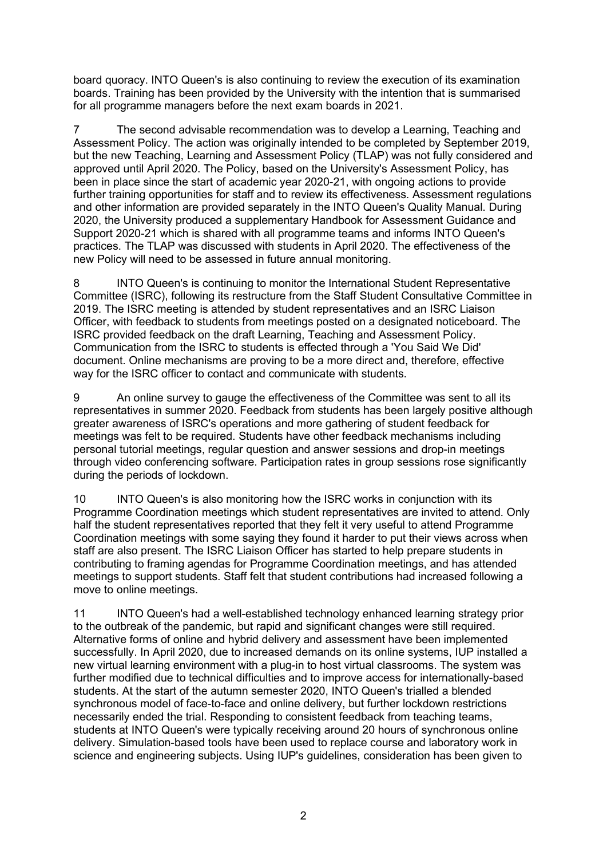board quoracy. INTO Queen's is also continuing to review the execution of its examination boards. Training has been provided by the University with the intention that is summarised for all programme managers before the next exam boards in 2021.

7 The second advisable recommendation was to develop a Learning, Teaching and Assessment Policy. The action was originally intended to be completed by September 2019, but the new Teaching, Learning and Assessment Policy (TLAP) was not fully considered and approved until April 2020. The Policy, based on the University's Assessment Policy, has been in place since the start of academic year 2020-21, with ongoing actions to provide further training opportunities for staff and to review its effectiveness. Assessment regulations and other information are provided separately in the INTO Queen's Quality Manual. During 2020, the University produced a supplementary Handbook for Assessment Guidance and Support 2020-21 which is shared with all programme teams and informs INTO Queen's practices. The TLAP was discussed with students in April 2020. The effectiveness of the new Policy will need to be assessed in future annual monitoring.

8 INTO Queen's is continuing to monitor the International Student Representative Committee (ISRC), following its restructure from the Staff Student Consultative Committee in 2019. The ISRC meeting is attended by student representatives and an ISRC Liaison Officer, with feedback to students from meetings posted on a designated noticeboard. The ISRC provided feedback on the draft Learning, Teaching and Assessment Policy. Communication from the ISRC to students is effected through a 'You Said We Did' document. Online mechanisms are proving to be a more direct and, therefore, effective way for the ISRC officer to contact and communicate with students.

9 An online survey to gauge the effectiveness of the Committee was sent to all its representatives in summer 2020. Feedback from students has been largely positive although greater awareness of ISRC's operations and more gathering of student feedback for meetings was felt to be required. Students have other feedback mechanisms including personal tutorial meetings, regular question and answer sessions and drop-in meetings through video conferencing software. Participation rates in group sessions rose significantly during the periods of lockdown.

10 INTO Queen's is also monitoring how the ISRC works in conjunction with its Programme Coordination meetings which student representatives are invited to attend. Only half the student representatives reported that they felt it very useful to attend Programme Coordination meetings with some saying they found it harder to put their views across when staff are also present. The ISRC Liaison Officer has started to help prepare students in contributing to framing agendas for Programme Coordination meetings, and has attended meetings to support students. Staff felt that student contributions had increased following a move to online meetings.

11 INTO Queen's had a well-established technology enhanced learning strategy prior to the outbreak of the pandemic, but rapid and significant changes were still required. Alternative forms of online and hybrid delivery and assessment have been implemented successfully. In April 2020, due to increased demands on its online systems, IUP installed a new virtual learning environment with a plug-in to host virtual classrooms. The system was further modified due to technical difficulties and to improve access for internationally-based students. At the start of the autumn semester 2020, INTO Queen's trialled a blended synchronous model of face-to-face and online delivery, but further lockdown restrictions necessarily ended the trial. Responding to consistent feedback from teaching teams, students at INTO Queen's were typically receiving around 20 hours of synchronous online delivery. Simulation-based tools have been used to replace course and laboratory work in science and engineering subjects. Using IUP's guidelines, consideration has been given to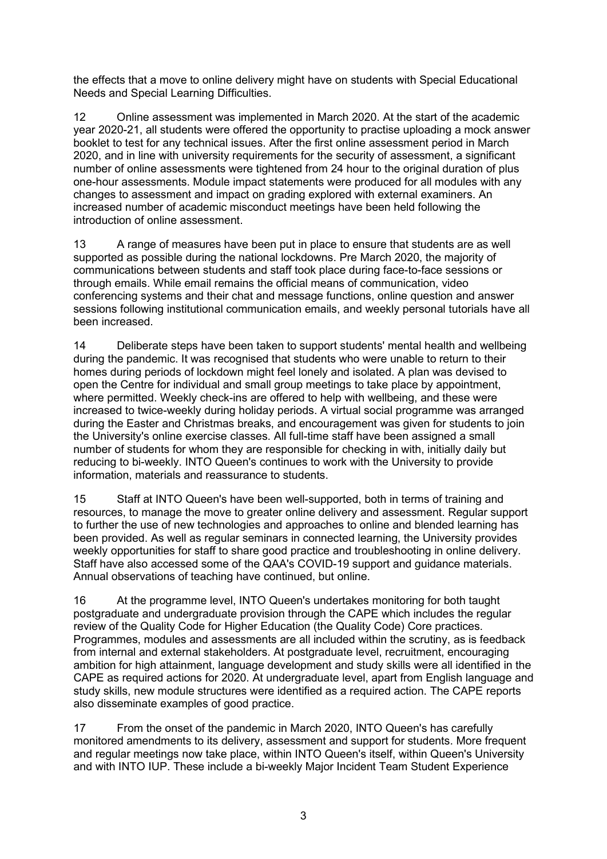the effects that a move to online delivery might have on students with Special Educational Needs and Special Learning Difficulties.

12 Online assessment was implemented in March 2020. At the start of the academic year 2020-21, all students were offered the opportunity to practise uploading a mock answer booklet to test for any technical issues. After the first online assessment period in March 2020, and in line with university requirements for the security of assessment, a significant number of online assessments were tightened from 24 hour to the original duration of plus one-hour assessments. Module impact statements were produced for all modules with any changes to assessment and impact on grading explored with external examiners. An increased number of academic misconduct meetings have been held following the introduction of online assessment.

13 A range of measures have been put in place to ensure that students are as well supported as possible during the national lockdowns. Pre March 2020, the majority of communications between students and staff took place during face-to-face sessions or through emails. While email remains the official means of communication, video conferencing systems and their chat and message functions, online question and answer sessions following institutional communication emails, and weekly personal tutorials have all been increased.

14 Deliberate steps have been taken to support students' mental health and wellbeing during the pandemic. It was recognised that students who were unable to return to their homes during periods of lockdown might feel lonely and isolated. A plan was devised to open the Centre for individual and small group meetings to take place by appointment, where permitted. Weekly check-ins are offered to help with wellbeing, and these were increased to twice-weekly during holiday periods. A virtual social programme was arranged during the Easter and Christmas breaks, and encouragement was given for students to join the University's online exercise classes. All full-time staff have been assigned a small number of students for whom they are responsible for checking in with, initially daily but reducing to bi-weekly. INTO Queen's continues to work with the University to provide information, materials and reassurance to students.

15 Staff at INTO Queen's have been well-supported, both in terms of training and resources, to manage the move to greater online delivery and assessment. Regular support to further the use of new technologies and approaches to online and blended learning has been provided. As well as regular seminars in connected learning, the University provides weekly opportunities for staff to share good practice and troubleshooting in online delivery. Staff have also accessed some of the QAA's COVID-19 support and guidance materials. Annual observations of teaching have continued, but online.

16 At the programme level, INTO Queen's undertakes monitoring for both taught postgraduate and undergraduate provision through the CAPE which includes the regular review of the Quality Code for Higher Education (the Quality Code) Core practices. Programmes, modules and assessments are all included within the scrutiny, as is feedback from internal and external stakeholders. At postgraduate level, recruitment, encouraging ambition for high attainment, language development and study skills were all identified in the CAPE as required actions for 2020. At undergraduate level, apart from English language and study skills, new module structures were identified as a required action. The CAPE reports also disseminate examples of good practice.

17 From the onset of the pandemic in March 2020, INTO Queen's has carefully monitored amendments to its delivery, assessment and support for students. More frequent and regular meetings now take place, within INTO Queen's itself, within Queen's University and with INTO IUP. These include a bi-weekly Major Incident Team Student Experience